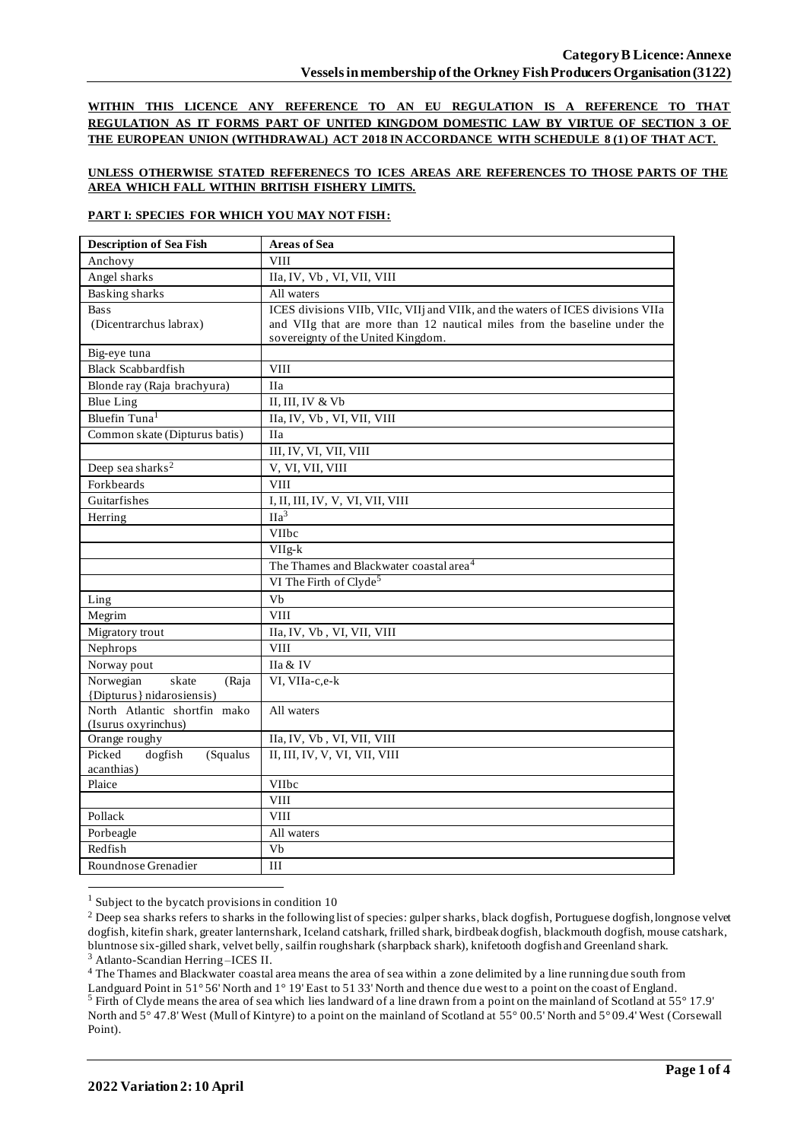**WITHIN THIS LICENCE ANY REFERENCE TO AN EU REGULATION IS A REFERENCE TO THAT REGULATION AS IT FORMS PART OF UNITED KINGDOM DOMESTIC LAW BY VIRTUE OF SECTION 3 OF THE EUROPEAN UNION (WITHDRAWAL) ACT 2018 IN ACCORDANCE WITH SCHEDULE 8 (1) OF THAT ACT.**

# **UNLESS OTHERWISE STATED REFERENECS TO ICES AREAS ARE REFERENCES TO THOSE PARTS OF THE AREA WHICH FALL WITHIN BRITISH FISHERY LIMITS.**

## **PART I: SPECIES FOR WHICH YOU MAY NOT FISH:**

| <b>Description of Sea Fish</b>              | <b>Areas of Sea</b>                                                             |  |  |
|---------------------------------------------|---------------------------------------------------------------------------------|--|--|
| Anchovy                                     | <b>VIII</b>                                                                     |  |  |
| Angel sharks                                | IIa, IV, Vb, VI, VII, VIII                                                      |  |  |
| <b>Basking sharks</b>                       | All waters                                                                      |  |  |
| <b>Bass</b>                                 | ICES divisions VIIb, VIIc, VIIj and VIIk, and the waters of ICES divisions VIIa |  |  |
| (Dicentrarchus labrax)                      | and VIIg that are more than 12 nautical miles from the baseline under the       |  |  |
|                                             | sovereignty of the United Kingdom.                                              |  |  |
| Big-eye tuna                                |                                                                                 |  |  |
| <b>Black Scabbardfish</b>                   | <b>VIII</b>                                                                     |  |  |
| Blonde ray (Raja brachyura)                 | <b>IIa</b>                                                                      |  |  |
| <b>Blue Ling</b>                            | II, III, IV & Vb                                                                |  |  |
| Bluefin Tuna <sup>1</sup>                   | IIa, IV, Vb, VI, VII, VIII                                                      |  |  |
| Common skate (Dipturus batis)               | <b>IIa</b>                                                                      |  |  |
|                                             | III, IV, VI, VII, VIII                                                          |  |  |
| Deep sea sharks <sup>2</sup>                | V, VI, VII, VIII                                                                |  |  |
| Forkbeards                                  | <b>VIII</b>                                                                     |  |  |
| Guitarfishes                                | I, II, III, IV, V, VI, VII, VIII                                                |  |  |
| Herring                                     | $\overline{Ha^3}$                                                               |  |  |
|                                             | VIIbc                                                                           |  |  |
|                                             | $VIIg-k$                                                                        |  |  |
|                                             | The Thames and Blackwater coastal area <sup>4</sup>                             |  |  |
|                                             | VI The Firth of Clyde <sup>5</sup>                                              |  |  |
| Ling                                        | Vb                                                                              |  |  |
| Megrim                                      | <b>VIII</b>                                                                     |  |  |
| Migratory trout                             | IIa, IV, Vb, VI, VII, VIII                                                      |  |  |
| Nephrops                                    | <b>VIII</b>                                                                     |  |  |
| Norway pout                                 | IIa & IV                                                                        |  |  |
| Norwegian<br>skate<br>(Raja                 | VI, VIIa-c,e-k                                                                  |  |  |
| {Dipturus} nidarosiensis)                   |                                                                                 |  |  |
| North Atlantic shortfin mako                | All waters                                                                      |  |  |
| (Isurus oxyrinchus)                         |                                                                                 |  |  |
| Orange roughy                               | IIa, IV, Vb, VI, VII, VIII                                                      |  |  |
| Picked<br>dogfish<br>(Squalus<br>acanthias) | II, III, IV, V, VI, VII, VIII                                                   |  |  |
| Plaice                                      | VIIbc                                                                           |  |  |
|                                             | <b>VIII</b>                                                                     |  |  |
| Pollack                                     | <b>VIII</b>                                                                     |  |  |
| Porbeagle                                   | All waters                                                                      |  |  |
| Redfish                                     | Vb                                                                              |  |  |
|                                             |                                                                                 |  |  |
| Roundnose Grenadier                         | $\rm III$                                                                       |  |  |

 $1$  Subject to the bycatch provisions in condition 10

<sup>3</sup> Atlanto-Scandian Herring –ICES II.

<sup>4</sup> The Thames and Blackwater coastal area means the area of sea within a zone delimited by a line running due south from Landguard Point in 51° 56' North and 1° 19' East to 51 33' North and thence due west to a point on the coast of England. <sup>5</sup> Firth of Clyde means the area of sea which lies landward of a line drawn from a point on the mainland of Scotland at 55° 17.9' North and 5° 47.8' West (Mull of Kintyre) to a point on the mainland of Scotland at 55° 00.5' North and 5° 09.4' West (Corsewall Point).

<sup>&</sup>lt;sup>2</sup> Deep sea sharks refers to sharks in the following list of species: gulper sharks, black dogfish, Portuguese dogfish, longnose velvet dogfish, kitefin shark, greater lanternshark, Iceland catshark, frilled shark, birdbeak dogfish, blackmouth dogfish, mouse catshark, bluntnose six-gilled shark, velvet belly, sailfin roughshark (sharpback shark), knifetooth dogfish and Greenland shark.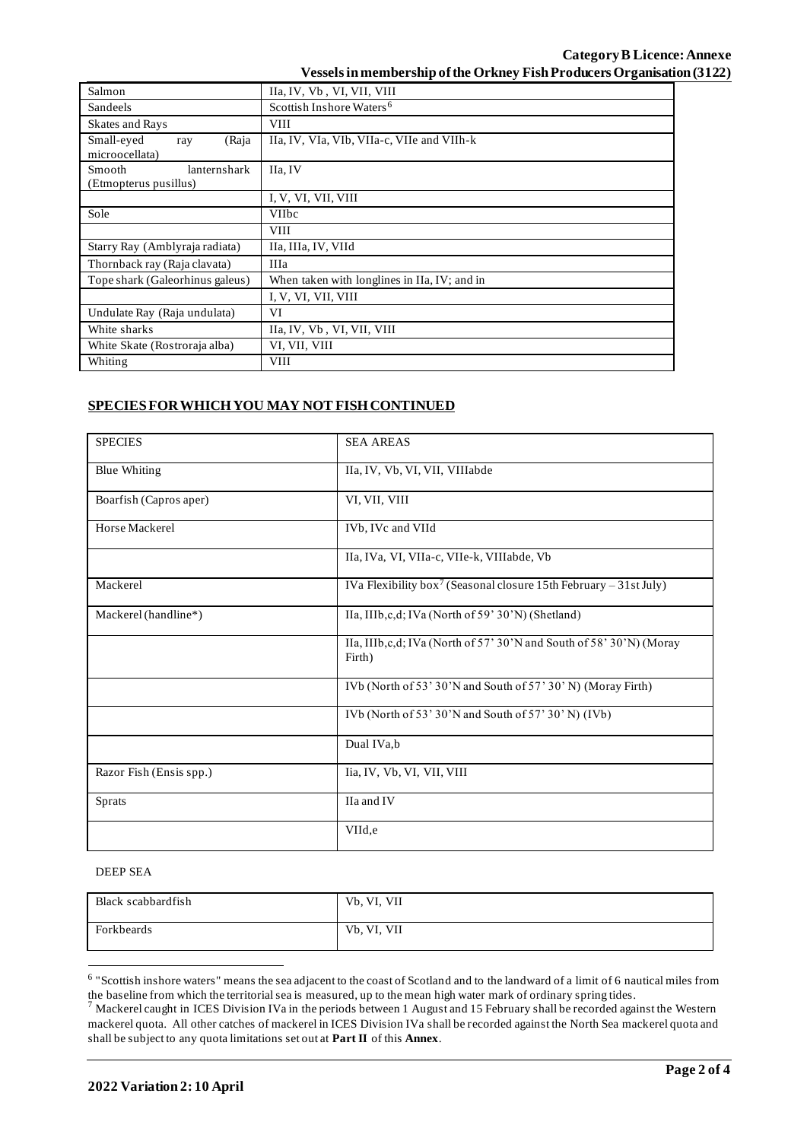| Salmon                                                 | IIa, IV, Vb, VI, VII, VIII                   |  |  |
|--------------------------------------------------------|----------------------------------------------|--|--|
| Sandeels                                               | Scottish Inshore Waters <sup>6</sup>         |  |  |
| <b>Skates and Rays</b>                                 | <b>VIII</b>                                  |  |  |
| Small-eyed<br>(Raja<br>ray<br>microocellata)           | IIa, IV, VIa, VIb, VIIa-c, VIIe and VIIh-k   |  |  |
| <b>Smooth</b><br>lanternshark<br>(Etmopterus pusillus) | IIa, IV                                      |  |  |
|                                                        | I, V, VI, VII, VIII                          |  |  |
| Sole                                                   | <b>VIIbc</b>                                 |  |  |
|                                                        | <b>VIII</b>                                  |  |  |
| Starry Ray (Amblyraja radiata)                         | IIa, IIIa, IV, VIId                          |  |  |
| Thornback ray (Raja clavata)                           | <b>IIIa</b>                                  |  |  |
| Tope shark (Galeorhinus galeus)                        | When taken with longlines in IIa, IV; and in |  |  |
|                                                        | I, V, VI, VII, VIII                          |  |  |
| Undulate Ray (Raja undulata)                           | VI                                           |  |  |
| White sharks                                           | IIa, IV, Vb, VI, VII, VIII                   |  |  |
| White Skate (Rostroraja alba)                          | VI, VII, VIII                                |  |  |
| Whiting                                                | <b>VIII</b>                                  |  |  |

# **SPECIES FOR WHICH YOU MAY NOT FISH CONTINUED**

| <b>SPECIES</b>          | <b>SEA AREAS</b>                                                                |  |  |
|-------------------------|---------------------------------------------------------------------------------|--|--|
| <b>Blue Whiting</b>     | IIa, IV, Vb, VI, VII, VIIIabde                                                  |  |  |
| Boarfish (Capros aper)  | VI, VII, VIII                                                                   |  |  |
| Horse Mackerel          | IVb, IVc and VIId                                                               |  |  |
|                         | IIa, IVa, VI, VIIa-c, VIIe-k, VIIIabde, Vb                                      |  |  |
| Mackerel                | IVa Flexibility box <sup>7</sup> (Seasonal closure 15th February – 31st July)   |  |  |
| Mackerel (handline*)    | IIa, IIIb, c, d; IVa (North of 59' 30'N) (Shetland)                             |  |  |
|                         | IIa, IIIb, c, d; IVa (North of 57' 30'N and South of 58' 30'N) (Moray<br>Firth) |  |  |
|                         | IVb (North of 53' 30'N and South of 57' 30' N) (Moray Firth)                    |  |  |
|                         | IVb (North of 53' 30'N and South of 57' 30' N) (IVb)                            |  |  |
|                         | Dual IVa,b                                                                      |  |  |
| Razor Fish (Ensis spp.) | Iia, IV, Vb, VI, VII, VIII                                                      |  |  |
| Sprats                  | IIa and IV                                                                      |  |  |
|                         | VIId,e                                                                          |  |  |

## DEEP SEA

| Black scabbardfish | Vb, VI, VII |
|--------------------|-------------|
| Forkbeards         | Vb, VI, VII |

<sup>&</sup>lt;sup>6</sup> "Scottish inshore waters" means the sea adjacent to the coast of Scotland and to the landward of a limit of 6 nautical miles from the baseline from which the territorial sea is measured, up to the mean high water mark of ordinary spring tides.

 $^7$  Mackerel caught in ICES Division IVa in the periods between 1 August and 15 February shall be recorded against the Western mackerel quota. All other catches of mackerel in ICES Division IVa shall be recorded against the North Sea mackerel quota and shall be subject to any quota limitations set out at **Part II** of this **Annex**.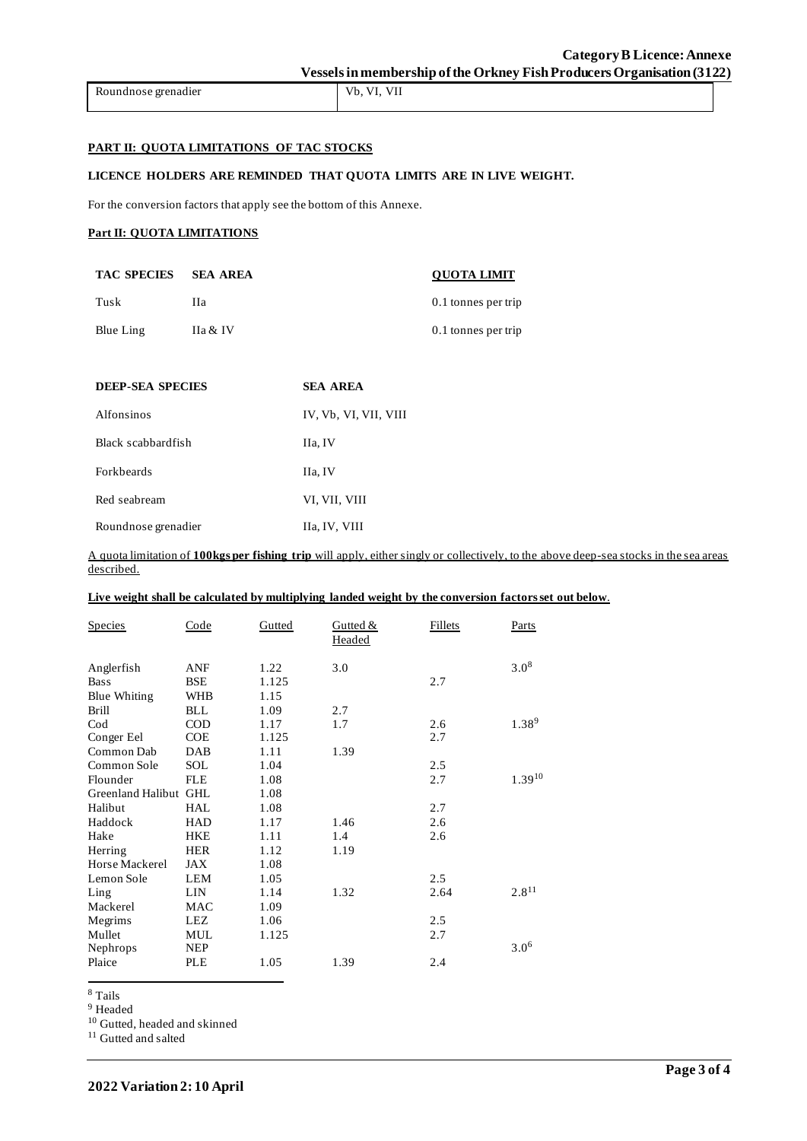#### **PART II: QUOTA LIMITATIONS OF TAC STOCKS**

## **LICENCE HOLDERS ARE REMINDED THAT QUOTA LIMITS ARE IN LIVE WEIGHT.**

For the conversion factors that apply see the bottom of this Annexe.

## **Part II: QUOTA LIMITATIONS**

| <b>TAC SPECIES</b> | <b>SEA AREA</b> | <b>OUOTA LIMIT</b>  |
|--------------------|-----------------|---------------------|
| Tusk               | Ha              | 0.1 tonnes per trip |
| Blue Ling          | Ha & IV         | 0.1 tonnes per trip |

| <b>DEEP-SEA SPECIES</b> | <b>SEA AREA</b>       |
|-------------------------|-----------------------|
| Alfonsinos              | IV, Vb, VI, VII, VIII |
| Black scabbardfish      | IIa, IV               |
| <b>Forkbeards</b>       | IIa, IV               |
| Red seabream            | VI, VII, VIII         |
| Roundnose grenadier     | IIa, IV, VIII         |

A quota limitation of **100kgs per fishing trip** will apply, either singly or collectively, to the above deep-sea stocks in the sea areas described.

#### **Live weight shall be calculated by multiplying landed weight by the conversion factors set out below**.

| <b>Species</b>        | Code       | Gutted | Gutted $&$<br>Headed | Fillets | Parts            |
|-----------------------|------------|--------|----------------------|---------|------------------|
| Anglerfish            | <b>ANF</b> | 1.22   | 3.0                  |         | $3.0^{8}$        |
| <b>Bass</b>           | <b>BSE</b> | 1.125  |                      | 2.7     |                  |
| Blue Whiting          | <b>WHB</b> | 1.15   |                      |         |                  |
| <b>Brill</b>          | BLL        | 1.09   | 2.7                  |         |                  |
| Cod                   | <b>COD</b> | 1.17   | 1.7                  | 2.6     | 1.389            |
| Conger Eel            | <b>COE</b> | 1.125  |                      | 2.7     |                  |
| Common Dab            | DAB        | 1.11   | 1.39                 |         |                  |
| Common Sole           | SOL        | 1.04   |                      | 2.5     |                  |
| Flounder              | <b>FLE</b> | 1.08   |                      | 2.7     | $1.39^{10}$      |
| Greenland Halibut GHL |            | 1.08   |                      |         |                  |
| Halibut               | HAL        | 1.08   |                      | 2.7     |                  |
| Haddock               | <b>HAD</b> | 1.17   | 1.46                 | 2.6     |                  |
| Hake                  | <b>HKE</b> | 1.11   | 1.4                  | 2.6     |                  |
| Herring               | <b>HER</b> | 1.12   | 1.19                 |         |                  |
| Horse Mackerel        | JAX        | 1.08   |                      |         |                  |
| Lemon Sole            | <b>LEM</b> | 1.05   |                      | 2.5     |                  |
| Ling                  | <b>LIN</b> | 1.14   | 1.32                 | 2.64    | $2.8^{11}$       |
| Mackerel              | MAC        | 1.09   |                      |         |                  |
| Megrims               | LEZ        | 1.06   |                      | 2.5     |                  |
| Mullet                | <b>MUL</b> | 1.125  |                      | 2.7     |                  |
| Nephrops              | <b>NEP</b> |        |                      |         | 3.0 <sup>6</sup> |
| Plaice                | PLE        | 1.05   | 1.39                 | 2.4     |                  |
|                       |            |        |                      |         |                  |

<sup>8</sup> Tails

<sup>9</sup> Headed

<sup>10</sup> Gutted, headed and skinned

<sup>11</sup> Gutted and salted